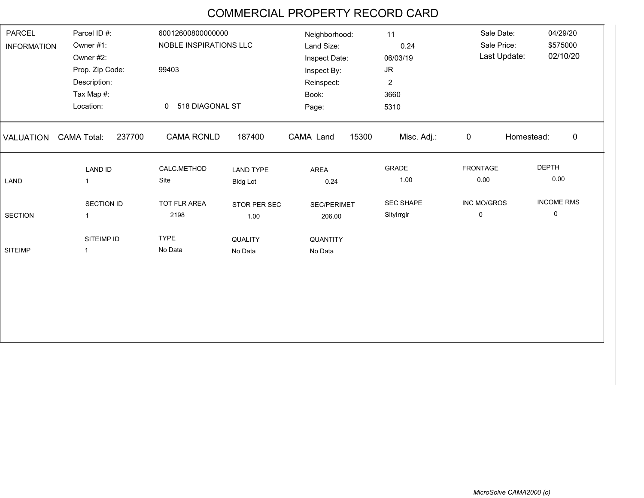## COMMERCIAL PROPERTY RECORD CARD

| Parcel ID #:<br><b>PARCEL</b><br>Owner #1:<br><b>INFORMATION</b> |                              | 60012600800000000<br>NOBLE INSPIRATIONS LLC |                  | Neighborhood:<br>Land Size: | 11<br>0.24              | Sale Date:<br>Sale Price: | 04/29/20<br>\$575000      |
|------------------------------------------------------------------|------------------------------|---------------------------------------------|------------------|-----------------------------|-------------------------|---------------------------|---------------------------|
|                                                                  | Owner #2:                    |                                             |                  | Inspect Date:               | 06/03/19                | Last Update:              | 02/10/20                  |
| Prop. Zip Code:                                                  |                              | 99403                                       |                  | Inspect By:                 | $\mathsf{J}\mathsf{R}$  |                           |                           |
| Description:                                                     |                              |                                             |                  | Reinspect:                  | $\overline{\mathbf{c}}$ |                           |                           |
| Tax Map #:                                                       |                              |                                             |                  | Book:                       | 3660                    |                           |                           |
| Location:                                                        |                              | 518 DIAGONAL ST<br>$\Omega$                 |                  | Page:                       | 5310                    |                           |                           |
| <b>VALUATION</b>                                                 | 237700<br><b>CAMA Total:</b> | <b>CAMA RCNLD</b>                           | 187400           | CAMA Land<br>15300          | Misc. Adj.:             | $\mathbf 0$               | $\mathbf 0$<br>Homestead: |
|                                                                  | <b>LAND ID</b>               | CALC.METHOD                                 | <b>LAND TYPE</b> | AREA                        | <b>GRADE</b>            | <b>FRONTAGE</b>           | <b>DEPTH</b>              |
| LAND                                                             | $\overline{1}$               | Site                                        | <b>Bldg Lot</b>  | 0.24                        | 1.00                    | 0.00                      | 0.00                      |
|                                                                  | SECTION ID                   | <b>TOT FLR AREA</b>                         | STOR PER SEC     | <b>SEC/PERIMET</b>          | <b>SEC SHAPE</b>        | INC MO/GROS               | <b>INCOME RMS</b>         |
| <b>SECTION</b>                                                   | $\overline{1}$               | 2198                                        | 1.00             | 206.00                      | Sitylrrgir              | 0                         | 0                         |
|                                                                  | SITEIMP ID                   | <b>TYPE</b>                                 | QUALITY          | <b>QUANTITY</b>             |                         |                           |                           |
| <b>SITEIMP</b>                                                   | $\mathbf 1$                  | No Data                                     | No Data          | No Data                     |                         |                           |                           |
|                                                                  |                              |                                             |                  |                             |                         |                           |                           |